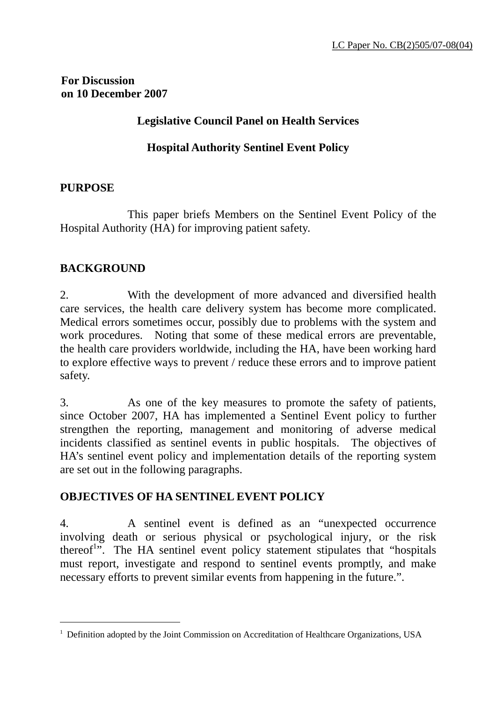### **For Discussion on 10 December 2007**

### **Legislative Council Panel on Health Services**

# **Hospital Authority Sentinel Event Policy**

### **PURPOSE**

 This paper briefs Members on the Sentinel Event Policy of the Hospital Authority (HA) for improving patient safety.

### **BACKGROUND**

 $\overline{a}$ 

2. With the development of more advanced and diversified health care services, the health care delivery system has become more complicated. Medical errors sometimes occur, possibly due to problems with the system and work procedures. Noting that some of these medical errors are preventable, the health care providers worldwide, including the HA, have been working hard to explore effective ways to prevent / reduce these errors and to improve patient safety.

3. As one of the key measures to promote the safety of patients, since October 2007, HA has implemented a Sentinel Event policy to further strengthen the reporting, management and monitoring of adverse medical incidents classified as sentinel events in public hospitals. The objectives of HA's sentinel event policy and implementation details of the reporting system are set out in the following paragraphs.

# **OBJECTIVES OF HA SENTINEL EVENT POLICY**

4. A sentinel event is defined as an "unexpected occurrence involving death or serious physical or psychological injury, or the risk thereof<sup>1</sup>. The HA sentinel event policy statement stipulates that "hospitals" must report, investigate and respond to sentinel events promptly, and make necessary efforts to prevent similar events from happening in the future.".

<sup>&</sup>lt;sup>1</sup> Definition adopted by the Joint Commission on Accreditation of Healthcare Organizations, USA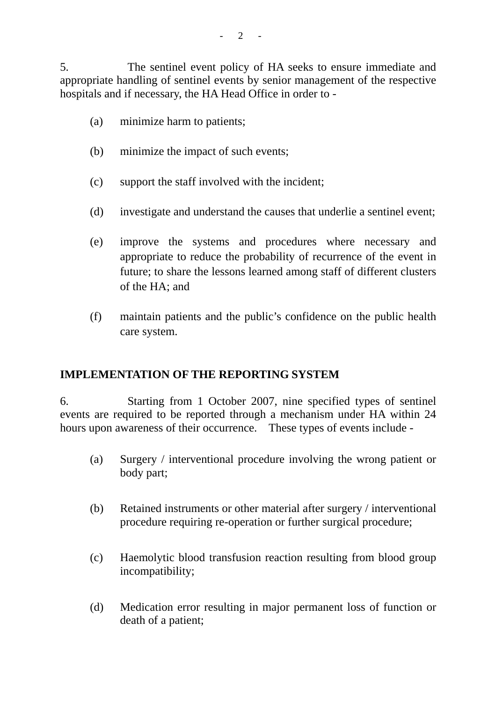5. The sentinel event policy of HA seeks to ensure immediate and appropriate handling of sentinel events by senior management of the respective hospitals and if necessary, the HA Head Office in order to -

- (a) minimize harm to patients;
- (b) minimize the impact of such events;
- (c) support the staff involved with the incident;
- (d) investigate and understand the causes that underlie a sentinel event;
- (e) improve the systems and procedures where necessary and appropriate to reduce the probability of recurrence of the event in future; to share the lessons learned among staff of different clusters of the HA; and
- (f) maintain patients and the public's confidence on the public health care system.

# **IMPLEMENTATION OF THE REPORTING SYSTEM**

6. Starting from 1 October 2007, nine specified types of sentinel events are required to be reported through a mechanism under HA within 24 hours upon awareness of their occurrence. These types of events include -

- (a) Surgery / interventional procedure involving the wrong patient or body part;
- (b) Retained instruments or other material after surgery / interventional procedure requiring re-operation or further surgical procedure;
- (c) Haemolytic blood transfusion reaction resulting from blood group incompatibility;
- (d) Medication error resulting in major permanent loss of function or death of a patient;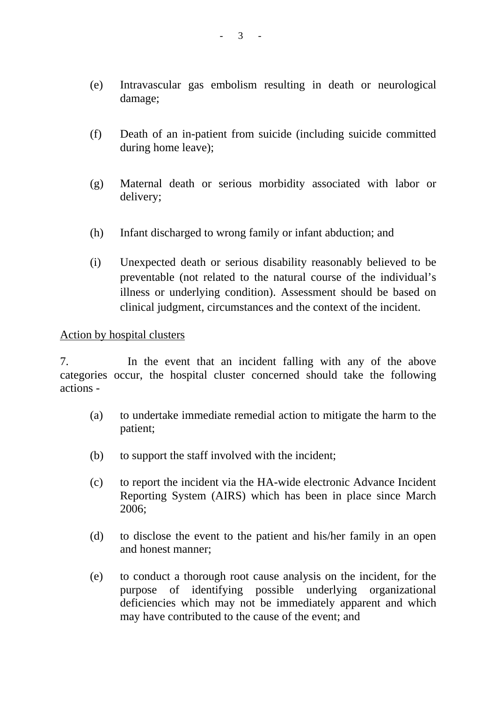- (e) Intravascular gas embolism resulting in death or neurological damage;
- (f) Death of an in-patient from suicide (including suicide committed during home leave);
- (g) Maternal death or serious morbidity associated with labor or delivery;
- (h) Infant discharged to wrong family or infant abduction; and
- (i) Unexpected death or serious disability reasonably believed to be preventable (not related to the natural course of the individual's illness or underlying condition). Assessment should be based on clinical judgment, circumstances and the context of the incident.

#### Action by hospital clusters

7. In the event that an incident falling with any of the above categories occur, the hospital cluster concerned should take the following actions -

- (a) to undertake immediate remedial action to mitigate the harm to the patient;
- (b) to support the staff involved with the incident;
- (c) to report the incident via the HA-wide electronic Advance Incident Reporting System (AIRS) which has been in place since March 2006;
- (d) to disclose the event to the patient and his/her family in an open and honest manner;
- (e) to conduct a thorough root cause analysis on the incident, for the purpose of identifying possible underlying organizational deficiencies which may not be immediately apparent and which may have contributed to the cause of the event; and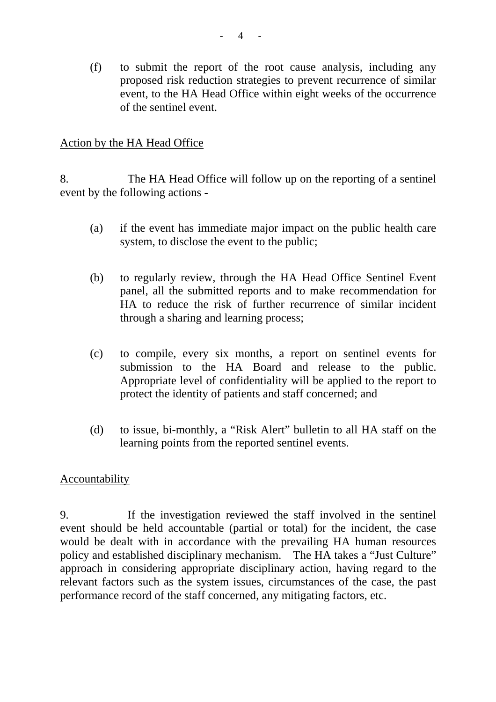(f) to submit the report of the root cause analysis, including any proposed risk reduction strategies to prevent recurrence of similar event, to the HA Head Office within eight weeks of the occurrence of the sentinel event.

### Action by the HA Head Office

8. The HA Head Office will follow up on the reporting of a sentinel event by the following actions -

- (a) if the event has immediate major impact on the public health care system, to disclose the event to the public;
- (b) to regularly review, through the HA Head Office Sentinel Event panel, all the submitted reports and to make recommendation for HA to reduce the risk of further recurrence of similar incident through a sharing and learning process;
- (c) to compile, every six months, a report on sentinel events for submission to the HA Board and release to the public. Appropriate level of confidentiality will be applied to the report to protect the identity of patients and staff concerned; and
- (d) to issue, bi-monthly, a "Risk Alert" bulletin to all HA staff on the learning points from the reported sentinel events.

#### Accountability

9. If the investigation reviewed the staff involved in the sentinel event should be held accountable (partial or total) for the incident, the case would be dealt with in accordance with the prevailing HA human resources policy and established disciplinary mechanism. The HA takes a "Just Culture" approach in considering appropriate disciplinary action, having regard to the relevant factors such as the system issues, circumstances of the case, the past performance record of the staff concerned, any mitigating factors, etc.